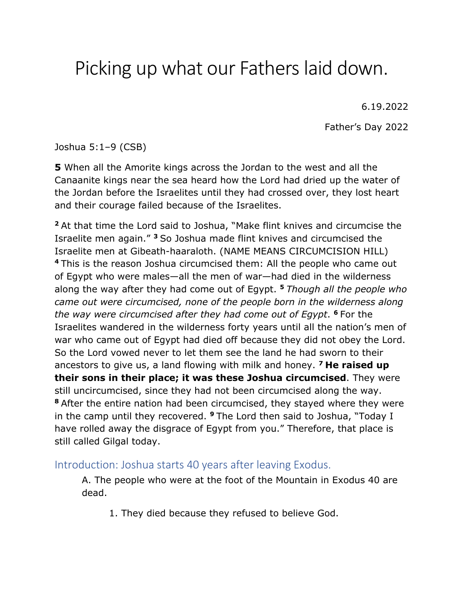# Picking up what our Fathers laid down.

6.19.2022

Father's Day 2022

Joshua 5:1–9 (CSB)

**5** When all the Amorite kings across the Jordan to the west and all the Canaanite kings near the sea heard how the Lord had dried up the water of the Jordan before the Israelites until they had crossed over, they lost heart and their courage failed because of the Israelites.

**<sup>2</sup>** At that time the Lord said to Joshua, "Make flint knives and circumcise the Israelite men again." **<sup>3</sup>** So Joshua made flint knives and circumcised the Israelite men at Gibeath-haaraloth. (NAME MEANS CIRCUMCISION HILL) **<sup>4</sup>** This is the reason Joshua circumcised them: All the people who came out of Egypt who were males—all the men of war—had died in the wilderness along the way after they had come out of Egypt. **<sup>5</sup>** *Though all the people who came out were circumcised, none of the people born in the wilderness along the way were circumcised after they had come out of Egypt*. **<sup>6</sup>** For the Israelites wandered in the wilderness forty years until all the nation's men of war who came out of Egypt had died off because they did not obey the Lord. So the Lord vowed never to let them see the land he had sworn to their ancestors to give us, a land flowing with milk and honey. **<sup>7</sup> He raised up their sons in their place; it was these Joshua circumcised**. They were still uncircumcised, since they had not been circumcised along the way. **<sup>8</sup>** After the entire nation had been circumcised, they stayed where they were in the camp until they recovered. **<sup>9</sup>** The Lord then said to Joshua, "Today I have rolled away the disgrace of Egypt from you." Therefore, that place is still called Gilgal today.

Introduction: Joshua starts 40 years after leaving Exodus.

A. The people who were at the foot of the Mountain in Exodus 40 are dead.

1. They died because they refused to believe God.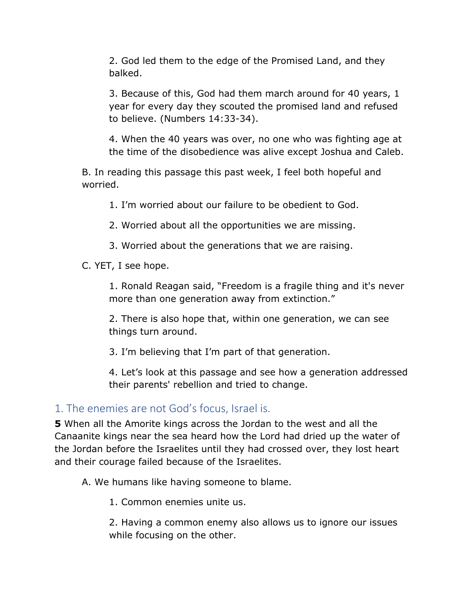2. God led them to the edge of the Promised Land, and they balked.

3. Because of this, God had them march around for 40 years, 1 year for every day they scouted the promised land and refused to believe. (Numbers 14:33-34).

4. When the 40 years was over, no one who was fighting age at the time of the disobedience was alive except Joshua and Caleb.

B. In reading this passage this past week, I feel both hopeful and worried.

1. I'm worried about our failure to be obedient to God.

2. Worried about all the opportunities we are missing.

3. Worried about the generations that we are raising.

C. YET, I see hope.

1. Ronald Reagan said, "Freedom is a fragile thing and it's never more than one generation away from extinction."

2. There is also hope that, within one generation, we can see things turn around.

3. I'm believing that I'm part of that generation.

4. Let's look at this passage and see how a generation addressed their parents' rebellion and tried to change.

## 1. The enemies are not God's focus, Israel is.

**5** When all the Amorite kings across the Jordan to the west and all the Canaanite kings near the sea heard how the Lord had dried up the water of the Jordan before the Israelites until they had crossed over, they lost heart and their courage failed because of the Israelites.

A. We humans like having someone to blame.

1. Common enemies unite us.

2. Having a common enemy also allows us to ignore our issues while focusing on the other.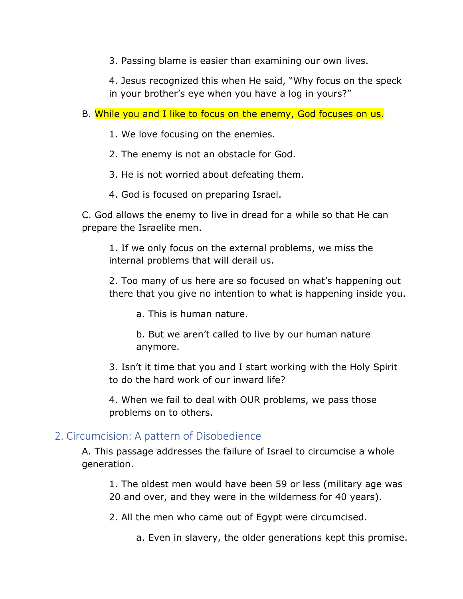3. Passing blame is easier than examining our own lives.

4. Jesus recognized this when He said, "Why focus on the speck in your brother's eye when you have a log in yours?"

B. While you and I like to focus on the enemy, God focuses on us.

1. We love focusing on the enemies.

2. The enemy is not an obstacle for God.

3. He is not worried about defeating them.

4. God is focused on preparing Israel.

C. God allows the enemy to live in dread for a while so that He can prepare the Israelite men.

1. If we only focus on the external problems, we miss the internal problems that will derail us.

2. Too many of us here are so focused on what's happening out there that you give no intention to what is happening inside you.

a. This is human nature.

b. But we aren't called to live by our human nature anymore.

3. Isn't it time that you and I start working with the Holy Spirit to do the hard work of our inward life?

4. When we fail to deal with OUR problems, we pass those problems on to others.

## 2. Circumcision: A pattern of Disobedience

A. This passage addresses the failure of Israel to circumcise a whole generation.

1. The oldest men would have been 59 or less (military age was 20 and over, and they were in the wilderness for 40 years).

2. All the men who came out of Egypt were circumcised.

a. Even in slavery, the older generations kept this promise.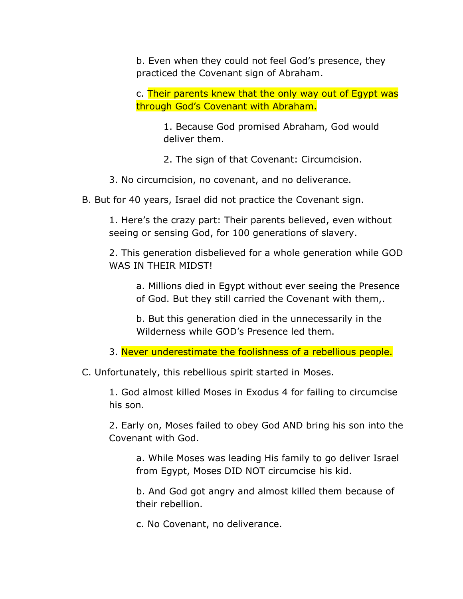b. Even when they could not feel God's presence, they practiced the Covenant sign of Abraham.

c. Their parents knew that the only way out of Egypt was through God's Covenant with Abraham.

> 1. Because God promised Abraham, God would deliver them.

2. The sign of that Covenant: Circumcision.

- 3. No circumcision, no covenant, and no deliverance.
- B. But for 40 years, Israel did not practice the Covenant sign.

1. Here's the crazy part: Their parents believed, even without seeing or sensing God, for 100 generations of slavery.

2. This generation disbelieved for a whole generation while GOD WAS IN THEIR MIDST!

a. Millions died in Egypt without ever seeing the Presence of God. But they still carried the Covenant with them,.

b. But this generation died in the unnecessarily in the Wilderness while GOD's Presence led them.

3. Never underestimate the foolishness of a rebellious people.

C. Unfortunately, this rebellious spirit started in Moses.

1. God almost killed Moses in Exodus 4 for failing to circumcise his son.

2. Early on, Moses failed to obey God AND bring his son into the Covenant with God.

a. While Moses was leading His family to go deliver Israel from Egypt, Moses DID NOT circumcise his kid.

b. And God got angry and almost killed them because of their rebellion.

c. No Covenant, no deliverance.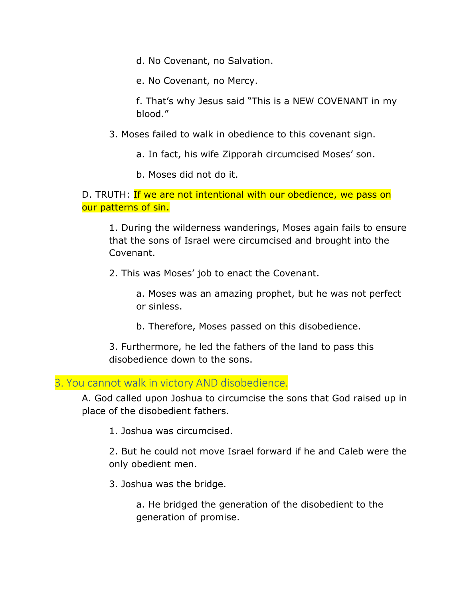d. No Covenant, no Salvation.

e. No Covenant, no Mercy.

f. That's why Jesus said "This is a NEW COVENANT in my blood."

3. Moses failed to walk in obedience to this covenant sign.

a. In fact, his wife Zipporah circumcised Moses' son.

b. Moses did not do it.

D. TRUTH: If we are not intentional with our obedience, we pass on our patterns of sin.

1. During the wilderness wanderings, Moses again fails to ensure that the sons of Israel were circumcised and brought into the Covenant.

2. This was Moses' job to enact the Covenant.

a. Moses was an amazing prophet, but he was not perfect or sinless.

b. Therefore, Moses passed on this disobedience.

3. Furthermore, he led the fathers of the land to pass this disobedience down to the sons.

3. You cannot walk in victory AND disobedience.

A. God called upon Joshua to circumcise the sons that God raised up in place of the disobedient fathers.

1. Joshua was circumcised.

2. But he could not move Israel forward if he and Caleb were the only obedient men.

3. Joshua was the bridge.

a. He bridged the generation of the disobedient to the generation of promise.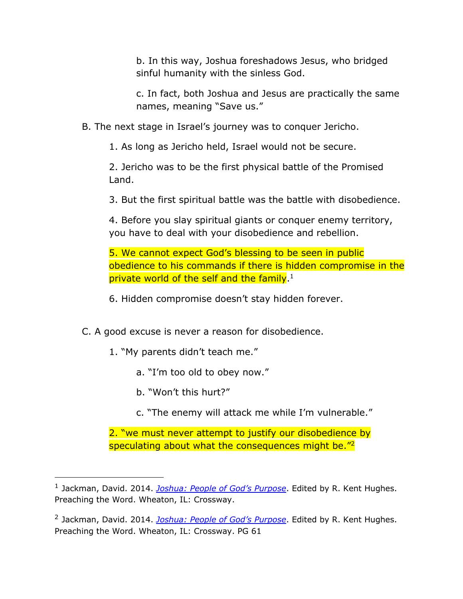b. In this way, Joshua foreshadows Jesus, who bridged sinful humanity with the sinless God.

c. In fact, both Joshua and Jesus are practically the same names, meaning "Save us."

B. The next stage in Israel's journey was to conquer Jericho.

1. As long as Jericho held, Israel would not be secure.

2. Jericho was to be the first physical battle of the Promised Land.

3. But the first spiritual battle was the battle with disobedience.

4. Before you slay spiritual giants or conquer enemy territory, you have to deal with your disobedience and rebellion.

5. We cannot expect God's blessing to be seen in public obedience to his commands if there is hidden compromise in the private world of the self and the family.<sup>1</sup>

6. Hidden compromise doesn't stay hidden forever.

- C. A good excuse is never a reason for disobedience.
	- 1. "My parents didn't teach me."
		- a. "I'm too old to obey now."
		- b. "Won't this hurt?"
		- c. "The enemy will attack me while I'm vulnerable."

2. "we must never attempt to justify our disobedience by speculating about what the consequences might be.<sup>"2</sup>

<sup>1</sup> Jackman, David. 2014. *Joshua: People of God's Purpose*. Edited by R. Kent Hughes. Preaching the Word. Wheaton, IL: Crossway.

<sup>2</sup> Jackman, David. 2014. *Joshua: People of God's Purpose*. Edited by R. Kent Hughes. Preaching the Word. Wheaton, IL: Crossway. PG 61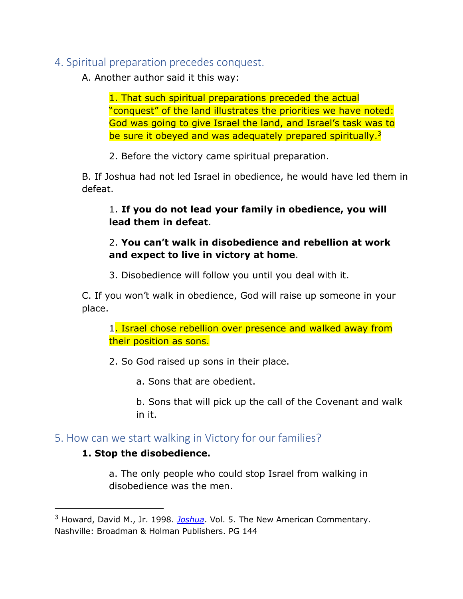# 4. Spiritual preparation precedes conquest.

A. Another author said it this way:

1. That such spiritual preparations preceded the actual "conquest" of the land illustrates the priorities we have noted: God was going to give Israel the land, and Israel's task was to be sure it obeyed and was adequately prepared spiritually.<sup>3</sup>

2. Before the victory came spiritual preparation.

B. If Joshua had not led Israel in obedience, he would have led them in defeat.

# 1. **If you do not lead your family in obedience, you will lead them in defeat**.

## 2. **You can't walk in disobedience and rebellion at work and expect to live in victory at home**.

3. Disobedience will follow you until you deal with it.

C. If you won't walk in obedience, God will raise up someone in your place.

1. Israel chose rebellion over presence and walked away from their position as sons.

2. So God raised up sons in their place.

a. Sons that are obedient.

b. Sons that will pick up the call of the Covenant and walk in it.

# 5. How can we start walking in Victory for our families?

## **1. Stop the disobedience.**

a. The only people who could stop Israel from walking in disobedience was the men.

<sup>3</sup> Howard, David M., Jr. 1998. *Joshua*. Vol. 5. The New American Commentary. Nashville: Broadman & Holman Publishers. PG 144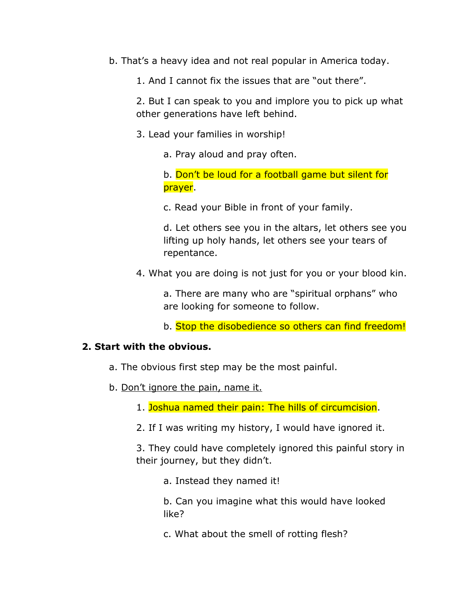- b. That's a heavy idea and not real popular in America today.
	- 1. And I cannot fix the issues that are "out there".

2. But I can speak to you and implore you to pick up what other generations have left behind.

- 3. Lead your families in worship!
	- a. Pray aloud and pray often.

b. Don't be loud for a football game but silent for prayer.

c. Read your Bible in front of your family.

d. Let others see you in the altars, let others see you lifting up holy hands, let others see your tears of repentance.

4. What you are doing is not just for you or your blood kin.

a. There are many who are "spiritual orphans" who are looking for someone to follow.

b. Stop the disobedience so others can find freedom!

#### **2. Start with the obvious.**

- a. The obvious first step may be the most painful.
- b. Don't ignore the pain, name it.
	- 1. Joshua named their pain: The hills of circumcision.
	- 2. If I was writing my history, I would have ignored it.

3. They could have completely ignored this painful story in their journey, but they didn't.

a. Instead they named it!

b. Can you imagine what this would have looked like?

c. What about the smell of rotting flesh?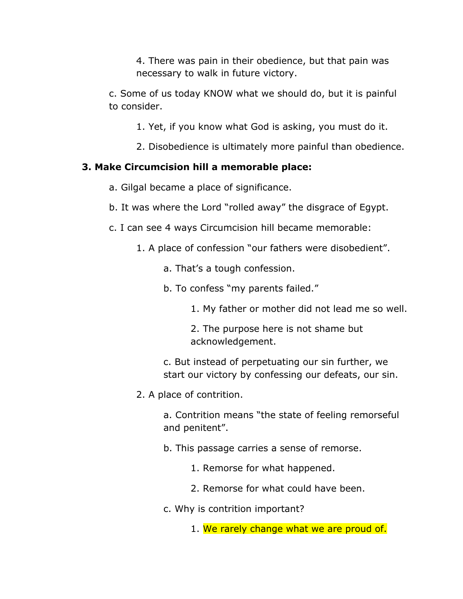4. There was pain in their obedience, but that pain was necessary to walk in future victory.

c. Some of us today KNOW what we should do, but it is painful to consider.

- 1. Yet, if you know what God is asking, you must do it.
- 2. Disobedience is ultimately more painful than obedience.

## **3. Make Circumcision hill a memorable place:**

- a. Gilgal became a place of significance.
- b. It was where the Lord "rolled away" the disgrace of Egypt.
- c. I can see 4 ways Circumcision hill became memorable:
	- 1. A place of confession "our fathers were disobedient".
		- a. That's a tough confession.
		- b. To confess "my parents failed."
			- 1. My father or mother did not lead me so well.

2. The purpose here is not shame but acknowledgement.

c. But instead of perpetuating our sin further, we start our victory by confessing our defeats, our sin.

2. A place of contrition.

a. Contrition means "the state of feeling remorseful and penitent".

- b. This passage carries a sense of remorse.
	- 1. Remorse for what happened.
	- 2. Remorse for what could have been.
- c. Why is contrition important?
	- 1. We rarely change what we are proud of.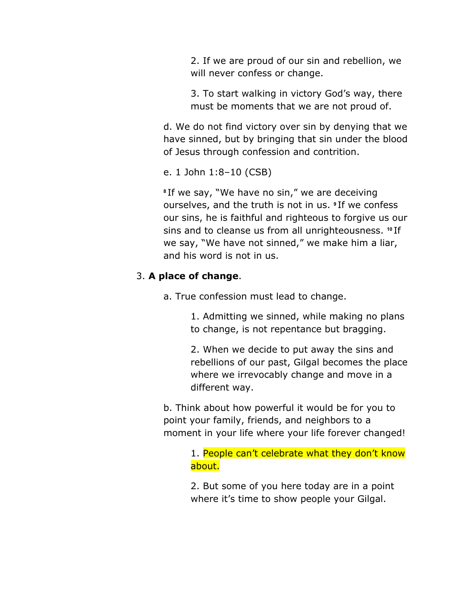2. If we are proud of our sin and rebellion, we will never confess or change.

3. To start walking in victory God's way, there must be moments that we are not proud of.

d. We do not find victory over sin by denying that we have sinned, but by bringing that sin under the blood of Jesus through confession and contrition.

e. 1 John 1:8–10 (CSB)

**<sup>8</sup>** If we say, "We have no sin," we are deceiving ourselves, and the truth is not in us. **<sup>9</sup>** If we confess our sins, he is faithful and righteous to forgive us our sins and to cleanse us from all unrighteousness. **<sup>10</sup>** If we say, "We have not sinned," we make him a liar, and his word is not in us.

## 3. **A place of change**.

a. True confession must lead to change.

1. Admitting we sinned, while making no plans to change, is not repentance but bragging.

2. When we decide to put away the sins and rebellions of our past, Gilgal becomes the place where we irrevocably change and move in a different way.

b. Think about how powerful it would be for you to point your family, friends, and neighbors to a moment in your life where your life forever changed!

> 1. People can't celebrate what they don't know about.

2. But some of you here today are in a point where it's time to show people your Gilgal.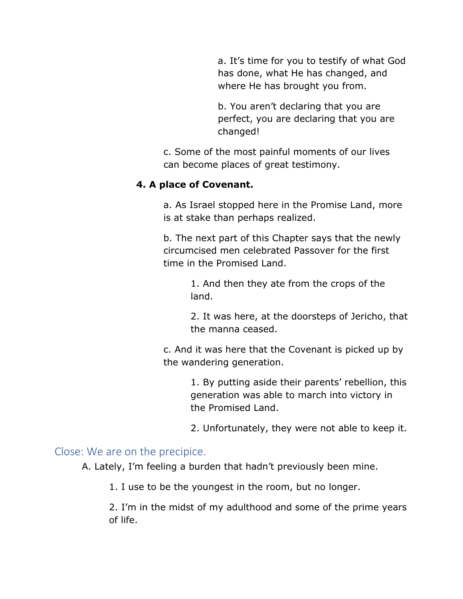a. It's time for you to testify of what God has done, what He has changed, and where He has brought you from.

b. You aren't declaring that you are perfect, you are declaring that you are changed!

c. Some of the most painful moments of our lives can become places of great testimony.

### **4. A place of Covenant.**

a. As Israel stopped here in the Promise Land, more is at stake than perhaps realized.

b. The next part of this Chapter says that the newly circumcised men celebrated Passover for the first time in the Promised Land.

> 1. And then they ate from the crops of the land.

2. It was here, at the doorsteps of Jericho, that the manna ceased.

c. And it was here that the Covenant is picked up by the wandering generation.

> 1. By putting aside their parents' rebellion, this generation was able to march into victory in the Promised Land.

> 2. Unfortunately, they were not able to keep it.

## Close: We are on the precipice.

A. Lately, I'm feeling a burden that hadn't previously been mine.

1. I use to be the youngest in the room, but no longer.

2. I'm in the midst of my adulthood and some of the prime years of life.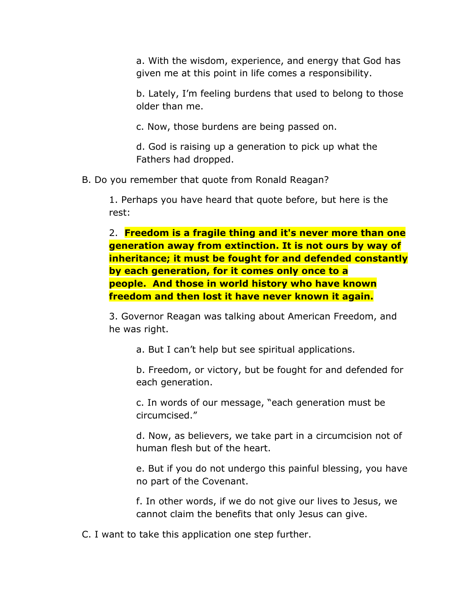a. With the wisdom, experience, and energy that God has given me at this point in life comes a responsibility.

b. Lately, I'm feeling burdens that used to belong to those older than me.

c. Now, those burdens are being passed on.

d. God is raising up a generation to pick up what the Fathers had dropped.

B. Do you remember that quote from Ronald Reagan?

1. Perhaps you have heard that quote before, but here is the rest:

2. **Freedom is a fragile thing and it's never more than one generation away from extinction. It is not ours by way of inheritance; it must be fought for and defended constantly by each generation, for it comes only once to a people. And those in world history who have known freedom and then lost it have never known it again.**

3. Governor Reagan was talking about American Freedom, and he was right.

a. But I can't help but see spiritual applications.

b. Freedom, or victory, but be fought for and defended for each generation.

c. In words of our message, "each generation must be circumcised."

d. Now, as believers, we take part in a circumcision not of human flesh but of the heart.

e. But if you do not undergo this painful blessing, you have no part of the Covenant.

f. In other words, if we do not give our lives to Jesus, we cannot claim the benefits that only Jesus can give.

C. I want to take this application one step further.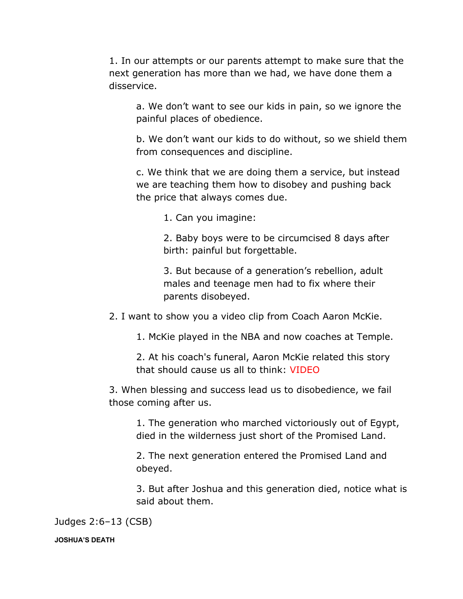1. In our attempts or our parents attempt to make sure that the next generation has more than we had, we have done them a disservice.

a. We don't want to see our kids in pain, so we ignore the painful places of obedience.

b. We don't want our kids to do without, so we shield them from consequences and discipline.

c. We think that we are doing them a service, but instead we are teaching them how to disobey and pushing back the price that always comes due.

1. Can you imagine:

2. Baby boys were to be circumcised 8 days after birth: painful but forgettable.

3. But because of a generation's rebellion, adult males and teenage men had to fix where their parents disobeyed.

2. I want to show you a video clip from Coach Aaron McKie.

1. McKie played in the NBA and now coaches at Temple.

2. At his coach's funeral, Aaron McKie related this story that should cause us all to think: VIDEO

3. When blessing and success lead us to disobedience, we fail those coming after us.

1. The generation who marched victoriously out of Egypt, died in the wilderness just short of the Promised Land.

2. The next generation entered the Promised Land and obeyed.

3. But after Joshua and this generation died, notice what is said about them.

Judges 2:6–13 (CSB)

#### **JOSHUA'S DEATH**